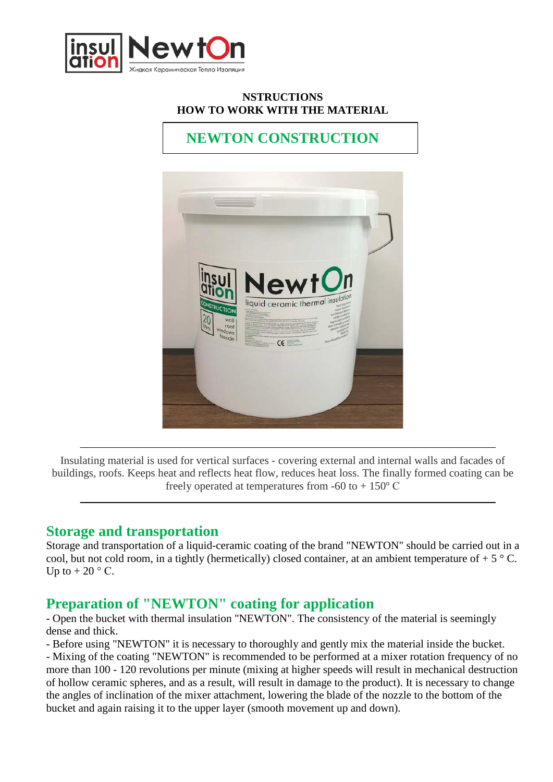

#### **NSTRUCTIONS HOW TO WORK WITH THE MATERIAL**

# **NEWTON CONSTRUCTION**



Insulating material is used for vertical surfaces - covering external and internal walls and facades of buildings, roofs. Keeps heat and reflects heat flow, reduces heat loss. The finally formed coating can be freely operated at temperatures from  $-60$  to  $+150^{\circ}$  C

#### **Storage and transportation**

Storage and transportation of a liquid-ceramic coating of the brand "NEWTON" should be carried out in a cool, but not cold room, in a tightly (hermetically) closed container, at an ambient temperature of  $+ 5 \degree C$ . Up to  $+ 20$  ° C.

### **Preparation of "NEWTON" coating for application**

- Open the bucket with thermal insulation "NEWTON". The consistency of the material is seemingly dense and thick.

- Before using "NEWTON" it is necessary to thoroughly and gently mix the material inside the bucket.

- Mixing of the coating "NEWTON" is recommended to be performed at a mixer rotation frequency of no more than 100 - 120 revolutions per minute (mixing at higher speeds will result in mechanical destruction of hollow ceramic spheres, and as a result, will result in damage to the product). It is necessary to change the angles of inclination of the mixer attachment, lowering the blade of the nozzle to the bottom of the bucket and again raising it to the upper layer (smooth movement up and down).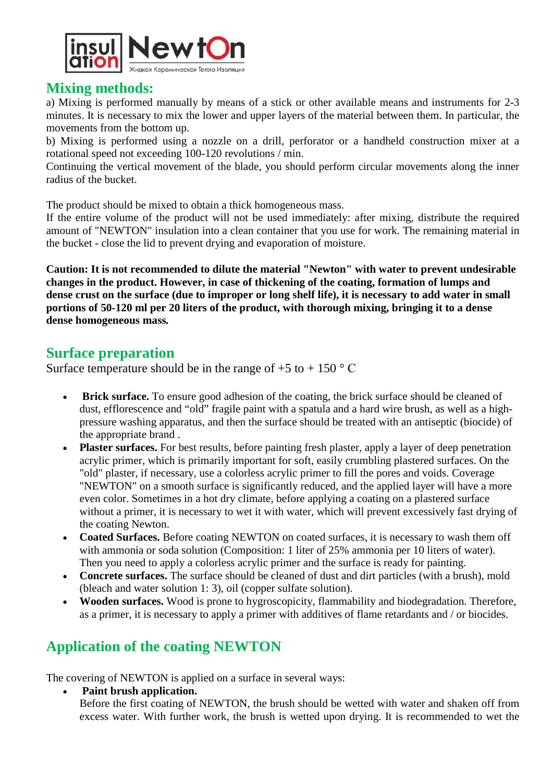

#### **Mixing methods:**

a) Mixing is performed manually by means of a stick or other available means and instruments for 2-3 minutes. It is necessary to mix the lower and upper layers of the material between them. In particular, the movements from the bottom up.

b) Mixing is performed using a nozzle on a drill, perforator or a handheld construction mixer at a rotational speed not exceeding 100-120 revolutions / min.

Continuing the vertical movement of the blade, you should perform circular movements along the inner radius of the bucket.

The product should be mixed to obtain a thick homogeneous mass.

If the entire volume of the product will not be used immediately: after mixing, distribute the required amount of "NEWTON" insulation into a clean container that you use for work. The remaining material in the bucket - close the lid to prevent drying and evaporation of moisture.

**Caution: It is not recommended to dilute the material "Newton" with water to prevent undesirable changes in the product. However, in case of thickening of the coating, formation of lumps and dense crust on the surface (due to improper or long shelf life), it is necessary to add water in small portions of 50-120 ml per 20 liters of the product, with thorough mixing, bringing it to a dense dense homogeneous mass***.*

### **Surface preparation**

Surface temperature should be in the range of  $+5$  to  $+ 150$  ° C

- **Brick surface.** To ensure good adhesion of the coating, the brick surface should be cleaned of dust, efflorescence and "old" fragile paint with a spatula and a hard wire brush, as well as a highpressure washing apparatus, and then the surface should be treated with an antiseptic (biocide) of the appropriate brand .
- **Plaster surfaces.** For best results, before painting fresh plaster, apply a layer of deep penetration acrylic primer, which is primarily important for soft, easily crumbling plastered surfaces. On the "old" plaster, if necessary, use a colorless acrylic primer to fill the pores and voids. Coverage "NEWTON" on a smooth surface is significantly reduced, and the applied layer will have a more even color. Sometimes in a hot dry climate, before applying a coating on a plastered surface without a primer, it is necessary to wet it with water, which will prevent excessively fast drying of the coating Newton.
- **Coated Surfaces.** Before coating NEWTON on coated surfaces, it is necessary to wash them off with ammonia or soda solution (Composition: 1 liter of 25% ammonia per 10 liters of water). Then you need to apply a colorless acrylic primer and the surface is ready for painting.
- **Concrete surfaces.** The surface should be cleaned of dust and dirt particles (with a brush), mold (bleach and water solution 1: 3), oil (copper sulfate solution).
- **Wooden surfaces.** Wood is prone to hygroscopicity, flammability and biodegradation. Therefore, as a primer, it is necessary to apply a primer with additives of flame retardants and / or biocides.

## **Application of the coating NEWTON**

The covering of NEWTON is applied on a surface in several ways:

• **Paint brush application.**

Before the first coating of NEWTON, the brush should be wetted with water and shaken off from excess water. With further work, the brush is wetted upon drying. It is recommended to wet the